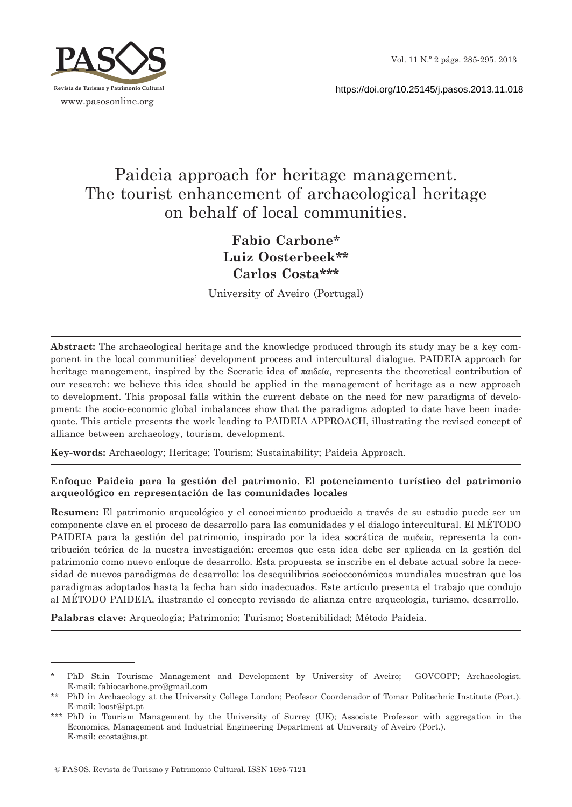

https://doi.org/10.25145/j.pasos.2013.11.018

# Paideia approach for heritage management. The tourist enhancement of archaeological heritage on behalf of local communities.

# **Fabio Carbone\* Luiz Oosterbeek\*\* Carlos Costa\*\*\***

University of Aveiro (Portugal)

**Abstract:** The archaeological heritage and the knowledge produced through its study may be a key component in the local communities' development process and intercultural dialogue. PAIDEIA approach for heritage management, inspired by the Socratic idea of παιδεία, represents the theoretical contribution of our research: we believe this idea should be applied in the management of heritage as a new approach to development. This proposal falls within the current debate on the need for new paradigms of development: the socio-economic global imbalances show that the paradigms adopted to date have been inadequate. This article presents the work leading to PAIDEIA APPROACH, illustrating the revised concept of alliance between archaeology, tourism, development.

**Key-words:** Archaeology; Heritage; Tourism; Sustainability; Paideia Approach.

### **Enfoque Paideia para la gestión del patrimonio. El potenciamento turístico del patrimonio arqueológico en representación de las comunidades locales**

**Resumen:** El patrimonio arqueológico y el conocimiento producido a través de su estudio puede ser un componente clave en el proceso de desarrollo para las comunidades y el dialogo intercultural. El MÉTODO PAIDEIA para la gestión del patrimonio, inspirado por la idea socrática de παιδεία, representa la contribución teórica de la nuestra investigación: creemos que esta idea debe ser aplicada en la gestión del patrimonio como nuevo enfoque de desarrollo. Esta propuesta se inscribe en el debate actual sobre la necesidad de nuevos paradigmas de desarrollo: los desequilibrios socioeconómicos mundiales muestran que los paradigmas adoptados hasta la fecha han sido inadecuados. Este artículo presenta el trabajo que condujo al MÉTODO PAIDEIA, ilustrando el concepto revisado de alianza entre arqueología, turismo, desarrollo.

**Palabras clave:** Arqueología; Patrimonio; Turismo; Sostenibilidad; Método Paideia.

PhD St.in Tourisme Management and Development by University of Aveiro; GOVCOPP; Archaeologist. E-mail: fabiocarbone.pro@gmail.com

<sup>\*\*</sup> PhD in Archaeology at the University College London; Peofesor Coordenador of Tomar Politechnic Institute (Port.). E-mail: loost@ipt.pt

<sup>\*\*\*</sup> PhD in Tourism Management by the University of Surrey (UK); Associate Professor with aggregation in the Economics, Management and Industrial Engineering Department at University of Aveiro (Port.). E-mail: ccosta@ua.pt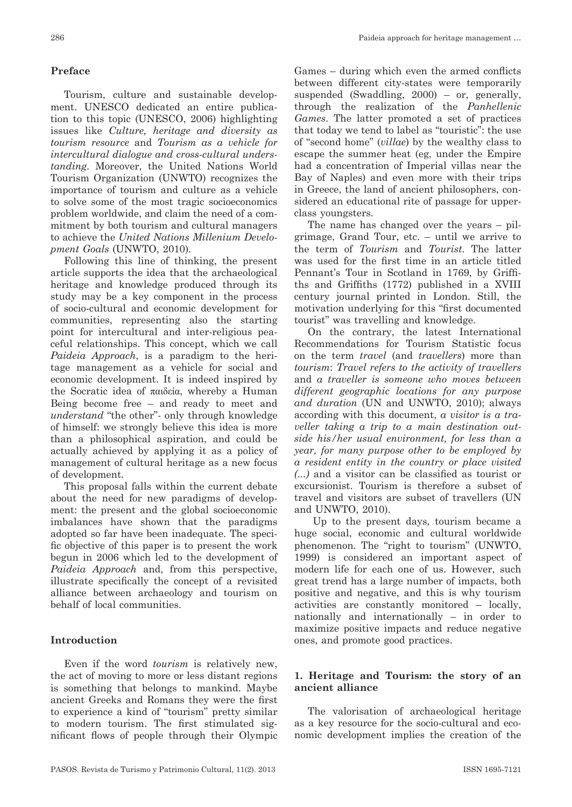## **Preface**

Tourism, culture and sustainable development. UNESCO dedicated an entire publication to this topic (UNESCO, 2006) highlighting issues like *Culture, heritage and diversity as tourism resource* and *Tourism as a vehicle for intercultural dialogue and cross-cultural understanding*. Moreover, the United Nations World Tourism Organization (UNWTO) recognizes the importance of tourism and culture as a vehicle to solve some of the most tragic socioeconomics problem worldwide, and claim the need of a commitment by both tourism and cultural managers to achieve the *United Nations Millenium Development Goals* (UNWTO, 2010).

Following this line of thinking, the present article supports the idea that the archaeological heritage and knowledge produced through its study may be a key component in the process of socio-cultural and economic development for communities, representing also the starting point for intercultural and inter-religious peaceful relationships. This concept, which we call *Paideia Approach*, is a paradigm to the heritage management as a vehicle for social and economic development. It is indeed inspired by the Socratic idea of παιδεία, whereby a Human Being become free – and ready to meet and *understand* "the other"- only through knowledge of himself: we strongly believe this idea is more than a philosophical aspiration, and could be actually achieved by applying it as a policy of management of cultural heritage as a new focus of development.

This proposal falls within the current debate about the need for new paradigms of development: the present and the global socioeconomic imbalances have shown that the paradigms adopted so far have been inadequate. The specific objective of this paper is to present the work begun in 2006 which led to the development of *Paideia Approach* and, from this perspective, illustrate specifically the concept of a revisited alliance between archaeology and tourism on behalf of local communities.

#### **Introduction**

Even if the word *tourism* is relatively new, the act of moving to more or less distant regions is something that belongs to mankind. Maybe ancient Greeks and Romans they were the first to experience a kind of "tourism" pretty similar to modern tourism. The first stimulated significant flows of people through their Olympic Games – during which even the armed conflicts between different city-states were temporarily suspended (Swaddling, 2000) – or, generally, through the realization of the *Panhellenic Games*. The latter promoted a set of practices that today we tend to label as "touristic": the use of "second home" (*villae*) by the wealthy class to escape the summer heat (eg, under the Empire had a concentration of Imperial villas near the Bay of Naples) and even more with their trips in Greece, the land of ancient philosophers, considered an educational rite of passage for upperclass youngsters.

The name has changed over the years – pilgrimage, Grand Tour, etc. – until we arrive to the term of *Tourism* and *Tourist*. The latter was used for the first time in an article titled Pennant's Tour in Scotland in 1769, by Griffiths and Griffiths (1772) published in a XVIII century journal printed in London. Still, the motivation underlying for this "first documented tourist" was travelling and knowledge.

On the contrary, the latest International Recommendations for Tourism Statistic focus on the term *travel* (and *travellers*) more than *tourism*: *Travel refers to the activity of travellers*  and *a traveller is someone who moves between different geographic locations for any purpose and duration* (UN and UNWTO, 2010); always according with this document, *a visitor is a traveller taking a trip to a main destination outside his/her usual environment, for less than a year, for many purpose other to be employed by a resident entity in the country or place visited (...)* and a visitor can be classified as tourist or excursionist. Tourism is therefore a subset of travel and visitors are subset of travellers (UN and UNWTO, 2010).

 Up to the present days, tourism became a huge social, economic and cultural worldwide phenomenon. The "right to tourism" (UNWTO, 1999) is considered an important aspect of modern life for each one of us. However, such great trend has a large number of impacts, both positive and negative, and this is why tourism activities are constantly monitored – locally, nationally and internationally – in order to maximize positive impacts and reduce negative ones, and promote good practices.

#### **1. Heritage and Tourism: the story of an ancient alliance**

The valorisation of archaeological heritage as a key resource for the socio-cultural and economic development implies the creation of the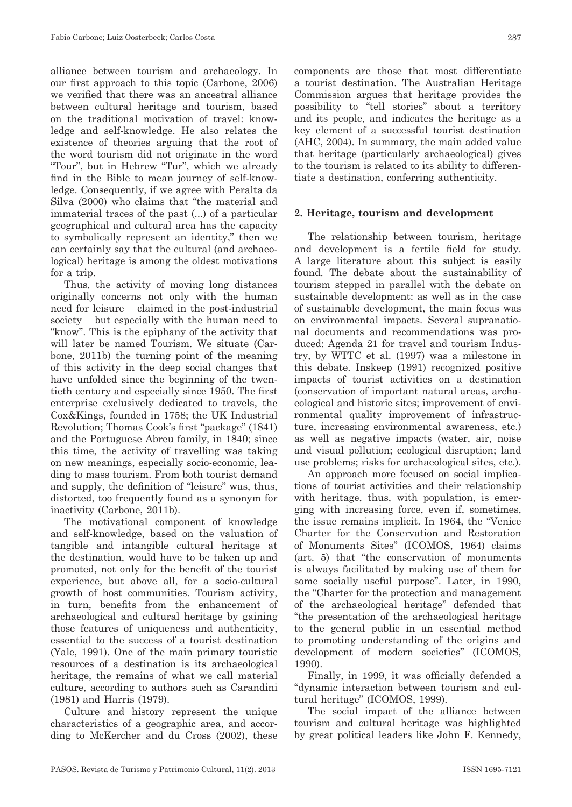alliance between tourism and archaeology. In our first approach to this topic (Carbone, 2006) we verified that there was an ancestral alliance between cultural heritage and tourism, based on the traditional motivation of travel: knowledge and self-knowledge. He also relates the existence of theories arguing that the root of the word tourism did not originate in the word "Tour", but in Hebrew "Tur", which we already find in the Bible to mean journey of self-knowledge. Consequently, if we agree with Peralta da Silva (2000) who claims that "the material and immaterial traces of the past (...) of a particular geographical and cultural area has the capacity to symbolically represent an identity," then we can certainly say that the cultural (and archaeological) heritage is among the oldest motivations for a trip.

Thus, the activity of moving long distances originally concerns not only with the human need for leisure – claimed in the post-industrial society – but especially with the human need to "know". This is the epiphany of the activity that will later be named Tourism. We situate (Carbone, 2011b) the turning point of the meaning of this activity in the deep social changes that have unfolded since the beginning of the twentieth century and especially since 1950. The first enterprise exclusively dedicated to travels, the Cox&Kings, founded in 1758; the UK Industrial Revolution; Thomas Cook's first "package" (1841) and the Portuguese Abreu family, in 1840; since this time, the activity of travelling was taking on new meanings, especially socio-economic, leading to mass tourism. From both tourist demand and supply, the definition of "leisure" was, thus, distorted, too frequently found as a synonym for inactivity (Carbone, 2011b).

The motivational component of knowledge and self-knowledge, based on the valuation of tangible and intangible cultural heritage at the destination, would have to be taken up and promoted, not only for the benefit of the tourist experience, but above all, for a socio-cultural growth of host communities. Tourism activity, in turn, benefits from the enhancement of archaeological and cultural heritage by gaining those features of uniqueness and authenticity, essential to the success of a tourist destination (Yale, 1991). One of the main primary touristic resources of a destination is its archaeological heritage, the remains of what we call material culture, according to authors such as Carandini (1981) and Harris (1979).

Culture and history represent the unique characteristics of a geographic area, and according to McKercher and du Cross (2002), these components are those that most differentiate a tourist destination. The Australian Heritage Commission argues that heritage provides the possibility to "tell stories" about a territory and its people, and indicates the heritage as a key element of a successful tourist destination (AHC, 2004). In summary, the main added value that heritage (particularly archaeological) gives to the tourism is related to its ability to differentiate a destination, conferring authenticity.

#### **2. Heritage, tourism and development**

The relationship between tourism, heritage and development is a fertile field for study. A large literature about this subject is easily found. The debate about the sustainability of tourism stepped in parallel with the debate on sustainable development: as well as in the case of sustainable development, the main focus was on environmental impacts. Several supranational documents and recommendations was produced: Agenda 21 for travel and tourism Industry, by WTTC et al. (1997) was a milestone in this debate. Inskeep (1991) recognized positive impacts of tourist activities on a destination (conservation of important natural areas, archaeological and historic sites; improvement of environmental quality improvement of infrastructure, increasing environmental awareness, etc.) as well as negative impacts (water, air, noise and visual pollution; ecological disruption; land use problems; risks for archaeological sites, etc.).

An approach more focused on social implications of tourist activities and their relationship with heritage, thus, with population, is emerging with increasing force, even if, sometimes, the issue remains implicit. In 1964, the "Venice Charter for the Conservation and Restoration of Monuments Sites" (ICOMOS, 1964) claims (art. 5) that "the conservation of monuments is always facilitated by making use of them for some socially useful purpose". Later, in 1990, the "Charter for the protection and management of the archaeological heritage" defended that "the presentation of the archaeological heritage to the general public in an essential method to promoting understanding of the origins and development of modern societies" (ICOMOS, 1990).

Finally, in 1999, it was officially defended a "dynamic interaction between tourism and cultural heritage" (ICOMOS, 1999).

The social impact of the alliance between tourism and cultural heritage was highlighted by great political leaders like John F. Kennedy,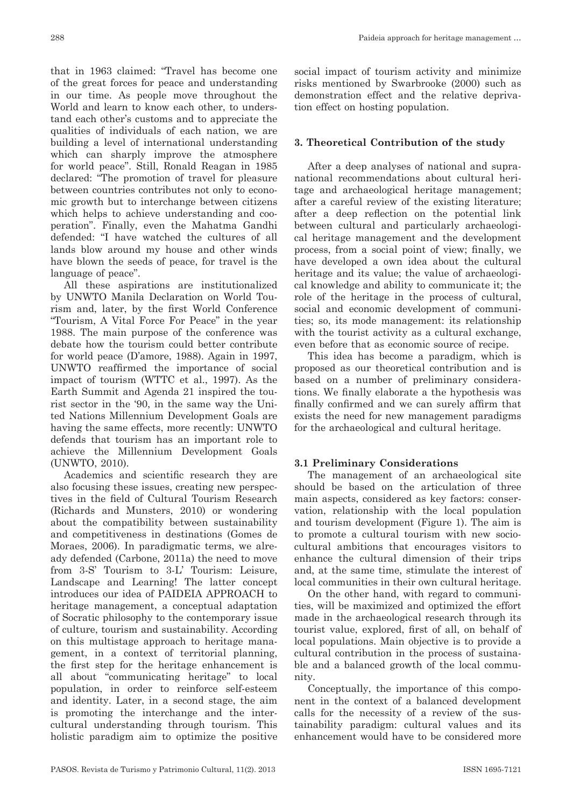that in 1963 claimed: "Travel has become one of the great forces for peace and understanding in our time. As people move throughout the World and learn to know each other, to understand each other's customs and to appreciate the qualities of individuals of each nation, we are building a level of international understanding which can sharply improve the atmosphere for world peace". Still, Ronald Reagan in 1985 declared: "The promotion of travel for pleasure between countries contributes not only to economic growth but to interchange between citizens which helps to achieve understanding and cooperation". Finally, even the Mahatma Gandhi defended: "I have watched the cultures of all lands blow around my house and other winds have blown the seeds of peace, for travel is the language of peace".

All these aspirations are institutionalized by UNWTO Manila Declaration on World Tourism and, later, by the first World Conference "Tourism, A Vital Force For Peace" in the year 1988. The main purpose of the conference was debate how the tourism could better contribute for world peace (D'amore, 1988). Again in 1997, UNWTO reaffirmed the importance of social impact of tourism (WTTC et al., 1997). As the Earth Summit and Agenda 21 inspired the tourist sector in the '90, in the same way the United Nations Millennium Development Goals are having the same effects, more recently: UNWTO defends that tourism has an important role to achieve the Millennium Development Goals (UNWTO, 2010).

Academics and scientific research they are also focusing these issues, creating new perspectives in the field of Cultural Tourism Research (Richards and Munsters, 2010) or wondering about the compatibility between sustainability and competitiveness in destinations (Gomes de Moraes, 2006). In paradigmatic terms, we already defended (Carbone, 2011a) the need to move from 3-S' Tourism to 3-L' Tourism: Leisure, Landscape and Learning! The latter concept introduces our idea of PAIDEIA APPROACH to heritage management, a conceptual adaptation of Socratic philosophy to the contemporary issue of culture, tourism and sustainability. According on this multistage approach to heritage management, in a context of territorial planning, the first step for the heritage enhancement is all about "communicating heritage" to local population, in order to reinforce self-esteem and identity. Later, in a second stage, the aim is promoting the interchange and the intercultural understanding through tourism. This holistic paradigm aim to optimize the positive

social impact of tourism activity and minimize risks mentioned by Swarbrooke (2000) such as demonstration effect and the relative deprivation effect on hosting population.

# **3. Theoretical Contribution of the study**

After a deep analyses of national and supranational recommendations about cultural heritage and archaeological heritage management; after a careful review of the existing literature; after a deep reflection on the potential link between cultural and particularly archaeological heritage management and the development process, from a social point of view; finally, we have developed a own idea about the cultural heritage and its value; the value of archaeological knowledge and ability to communicate it; the role of the heritage in the process of cultural, social and economic development of communities; so, its mode management: its relationship with the tourist activity as a cultural exchange, even before that as economic source of recipe.

This idea has become a paradigm, which is proposed as our theoretical contribution and is based on a number of preliminary considerations. We finally elaborate a the hypothesis was finally confirmed and we can surely affirm that exists the need for new management paradigms for the archaeological and cultural heritage.

# **3.1 Preliminary Considerations**

The management of an archaeological site should be based on the articulation of three main aspects, considered as key factors: conservation, relationship with the local population and tourism development (Figure 1). The aim is to promote a cultural tourism with new sociocultural ambitions that encourages visitors to enhance the cultural dimension of their trips and, at the same time, stimulate the interest of local communities in their own cultural heritage.

On the other hand, with regard to communities, will be maximized and optimized the effort made in the archaeological research through its tourist value, explored, first of all, on behalf of local populations. Main objective is to provide a cultural contribution in the process of sustainable and a balanced growth of the local community.

Conceptually, the importance of this component in the context of a balanced development calls for the necessity of a review of the sustainability paradigm: cultural values and its enhancement would have to be considered more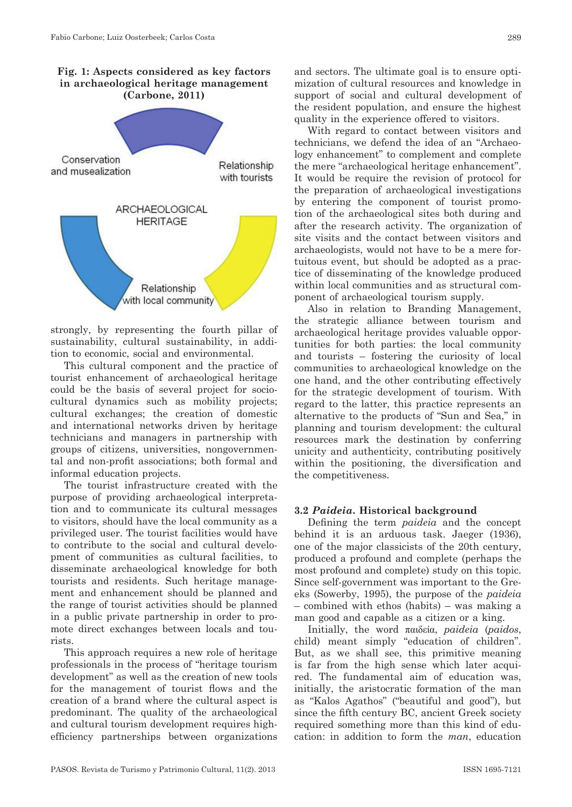**Fig. 1: Aspects considered as key factors in archaeological heritage management (Carbone, 2011)**



strongly, by representing the fourth pillar of sustainability, cultural sustainability, in addition to economic, social and environmental.

This cultural component and the practice of tourist enhancement of archaeological heritage could be the basis of several project for sociocultural dynamics such as mobility projects; cultural exchanges; the creation of domestic and international networks driven by heritage technicians and managers in partnership with groups of citizens, universities, nongovernmental and non-profit associations; both formal and informal education projects.

The tourist infrastructure created with the purpose of providing archaeological interpretation and to communicate its cultural messages to visitors, should have the local community as a privileged user. The tourist facilities would have to contribute to the social and cultural development of communities as cultural facilities, to disseminate archaeological knowledge for both tourists and residents. Such heritage management and enhancement should be planned and the range of tourist activities should be planned in a public private partnership in order to promote direct exchanges between locals and tourists.

This approach requires a new role of heritage professionals in the process of "heritage tourism development" as well as the creation of new tools for the management of tourist flows and the creation of a brand where the cultural aspect is predominant. The quality of the archaeological and cultural tourism development requires highefficiency partnerships between organizations

and sectors. The ultimate goal is to ensure optimization of cultural resources and knowledge in support of social and cultural development of the resident population, and ensure the highest quality in the experience offered to visitors.

With regard to contact between visitors and technicians, we defend the idea of an "Archaeology enhancement" to complement and complete the mere "archaeological heritage enhancement". It would be require the revision of protocol for the preparation of archaeological investigations by entering the component of tourist promotion of the archaeological sites both during and after the research activity. The organization of site visits and the contact between visitors and archaeologists, would not have to be a mere fortuitous event, but should be adopted as a practice of disseminating of the knowledge produced within local communities and as structural component of archaeological tourism supply.

Also in relation to Branding Management, the strategic alliance between tourism and archaeological heritage provides valuable opportunities for both parties: the local community and tourists – fostering the curiosity of local communities to archaeological knowledge on the one hand, and the other contributing effectively for the strategic development of tourism. With regard to the latter, this practice represents an alternative to the products of "Sun and Sea," in planning and tourism development: the cultural resources mark the destination by conferring unicity and authenticity, contributing positively within the positioning, the diversification and the competitiveness.

#### **3.2** *Paideia***. Historical background**

Defining the term *paideia* and the concept behind it is an arduous task. Jaeger (1936), one of the major classicists of the 20th century, produced a profound and complete (perhaps the most profound and complete) study on this topic. Since self-government was important to the Greeks (Sowerby, 1995), the purpose of the *paideia* – combined with ethos (habits) – was making a man good and capable as a citizen or a king.

Initially, the word παιδεία, *paideia* (*paidos*, child) meant simply "education of children". But, as we shall see, this primitive meaning is far from the high sense which later acquired. The fundamental aim of education was, initially, the aristocratic formation of the man as "Kalos Agathos" ("beautiful and good"), but since the fifth century BC, ancient Greek society required something more than this kind of education: in addition to form the *man*, education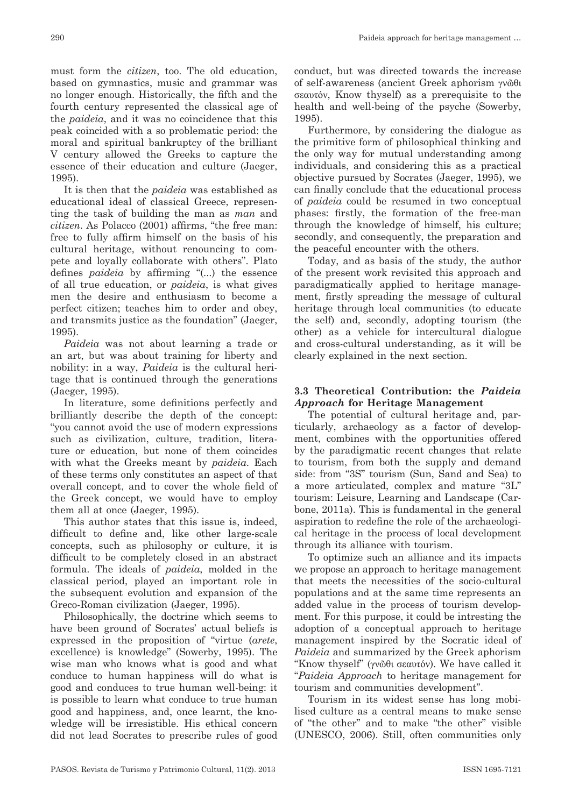must form the *citizen*, too. The old education, based on gymnastics, music and grammar was no longer enough. Historically, the fifth and the fourth century represented the classical age of the *paideia*, and it was no coincidence that this peak coincided with a so problematic period: the moral and spiritual bankruptcy of the brilliant V century allowed the Greeks to capture the essence of their education and culture (Jaeger, 1995).

It is then that the *paideia* was established as educational ideal of classical Greece, representing the task of building the man as *man* and *citizen*. As Polacco (2001) affirms, "the free man: free to fully affirm himself on the basis of his cultural heritage, without renouncing to compete and loyally collaborate with others". Plato defines *paideia* by affirming "(...) the essence of all true education, or *paideia*, is what gives men the desire and enthusiasm to become a perfect citizen; teaches him to order and obey, and transmits justice as the foundation" (Jaeger, 1995).

*Paideia* was not about learning a trade or an art, but was about training for liberty and nobility: in a way, *Paideia* is the cultural heritage that is continued through the generations (Jaeger, 1995).

In literature, some definitions perfectly and brilliantly describe the depth of the concept: "you cannot avoid the use of modern expressions such as civilization, culture, tradition, literature or education, but none of them coincides with what the Greeks meant by *paideia*. Each of these terms only constitutes an aspect of that overall concept, and to cover the whole field of the Greek concept, we would have to employ them all at once (Jaeger, 1995).

This author states that this issue is, indeed, difficult to define and, like other large-scale concepts, such as philosophy or culture, it is difficult to be completely closed in an abstract formula. The ideals of *paideia*, molded in the classical period, played an important role in the subsequent evolution and expansion of the Greco-Roman civilization (Jaeger, 1995).

Philosophically, the doctrine which seems to have been ground of Socrates' actual beliefs is expressed in the proposition of "virtue (*arete*, excellence) is knowledge" (Sowerby, 1995). The wise man who knows what is good and what conduce to human happiness will do what is good and conduces to true human well-being: it is possible to learn what conduce to true human good and happiness, and, once learnt, the knowledge will be irresistible. His ethical concern did not lead Socrates to prescribe rules of good

conduct, but was directed towards the increase of self-awareness (ancient Greek aphorism γνῶθι σεαυτόν, Know thyself) as a prerequisite to the health and well-being of the psyche (Sowerby, 1995).

Furthermore, by considering the dialogue as the primitive form of philosophical thinking and the only way for mutual understanding among individuals, and considering this as a practical objective pursued by Socrates (Jaeger, 1995), we can finally conclude that the educational process of *paideia* could be resumed in two conceptual phases: firstly, the formation of the free-man through the knowledge of himself, his culture; secondly, and consequently, the preparation and the peaceful encounter with the others.

Today, and as basis of the study, the author of the present work revisited this approach and paradigmatically applied to heritage management, firstly spreading the message of cultural heritage through local communities (to educate the self) and, secondly, adopting tourism (the other) as a vehicle for intercultural dialogue and cross-cultural understanding, as it will be clearly explained in the next section.

#### **3.3 Theoretical Contribution: the** *Paideia Approach* **for Heritage Management**

The potential of cultural heritage and, particularly, archaeology as a factor of development, combines with the opportunities offered by the paradigmatic recent changes that relate to tourism, from both the supply and demand side: from "3S" tourism (Sun, Sand and Sea) to a more articulated, complex and mature "3L" tourism: Leisure, Learning and Landscape (Carbone, 2011a). This is fundamental in the general aspiration to redefine the role of the archaeological heritage in the process of local development through its alliance with tourism.

To optimize such an alliance and its impacts we propose an approach to heritage management that meets the necessities of the socio-cultural populations and at the same time represents an added value in the process of tourism development. For this purpose, it could be intresting the adoption of a conceptual approach to heritage management inspired by the Socratic ideal of *Paideia* and summarized by the Greek aphorism "Know thyself" (γνῶθι σεαυτόν). We have called it "*Paideia Approach* to heritage management for tourism and communities development".

Tourism in its widest sense has long mobilised culture as a central means to make sense of "the other" and to make "the other" visible (UNESCO, 2006). Still, often communities only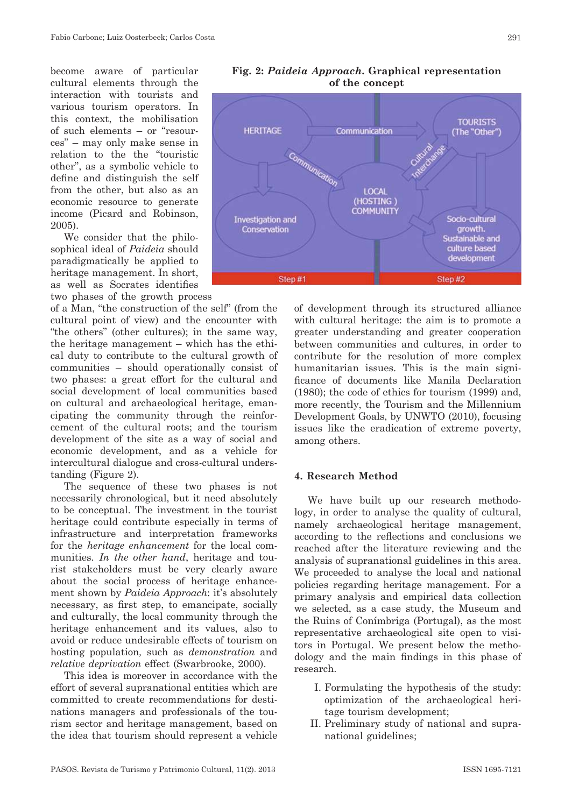become aware of particular cultural elements through the interaction with tourists and various tourism operators. In this context, the mobilisation of such elements – or "resources" – may only make sense in relation to the the "touristic other", as a symbolic vehicle to define and distinguish the self from the other, but also as an economic resource to generate income (Picard and Robinson, 2005).

We consider that the philosophical ideal of *Paideia* should paradigmatically be applied to heritage management. In short, as well as Socrates identifies

two phases of the growth process

of a Man, "the construction of the self" (from the cultural point of view) and the encounter with "the others" (other cultures); in the same way, the heritage management – which has the ethical duty to contribute to the cultural growth of communities – should operationally consist of two phases: a great effort for the cultural and social development of local communities based on cultural and archaeological heritage, emancipating the community through the reinforcement of the cultural roots; and the tourism development of the site as a way of social and economic development, and as a vehicle for intercultural dialogue and cross-cultural understanding (Figure 2).

The sequence of these two phases is not necessarily chronological, but it need absolutely to be conceptual. The investment in the tourist heritage could contribute especially in terms of infrastructure and interpretation frameworks for the *heritage enhancement* for the local communities. *In the other hand*, heritage and tourist stakeholders must be very clearly aware about the social process of heritage enhancement shown by *Paideia Approach*: it's absolutely necessary, as first step, to emancipate, socially and culturally, the local community through the heritage enhancement and its values, also to avoid or reduce undesirable effects of tourism on hosting population*,* such as *demonstration* and *relative deprivation* effect (Swarbrooke, 2000).

This idea is moreover in accordance with the effort of several supranational entities which are committed to create recommendations for destinations managers and professionals of the tourism sector and heritage management, based on the idea that tourism should represent a vehicle



#### **Fig. 2:** *Paideia Approach***. Graphical representation of the concept**

of development through its structured alliance with cultural heritage: the aim is to promote a greater understanding and greater cooperation between communities and cultures, in order to contribute for the resolution of more complex humanitarian issues. This is the main significance of documents like Manila Declaration (1980); the code of ethics for tourism (1999) and, more recently, the Tourism and the Millennium Development Goals, by UNWTO (2010), focusing issues like the eradication of extreme poverty, among others.

#### **4. Research Method**

We have built up our research methodology, in order to analyse the quality of cultural, namely archaeological heritage management, according to the reflections and conclusions we reached after the literature reviewing and the analysis of supranational guidelines in this area. We proceeded to analyse the local and national policies regarding heritage management. For a primary analysis and empirical data collection we selected, as a case study, the Museum and the Ruins of Conímbriga (Portugal), as the most representative archaeological site open to visitors in Portugal. We present below the methodology and the main findings in this phase of research.

- I. Formulating the hypothesis of the study: optimization of the archaeological heritage tourism development;
- II. Preliminary study of national and supranational guidelines;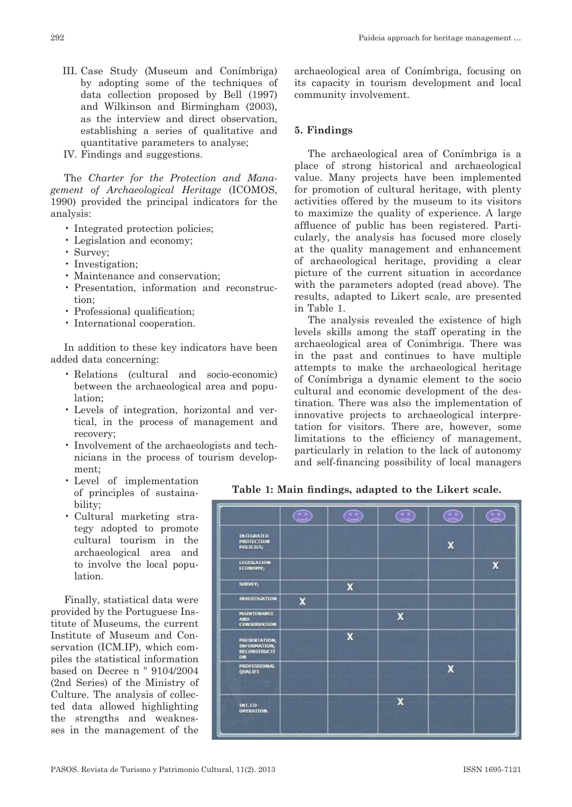- III. Case Study (Museum and Conímbriga) by adopting some of the techniques of data collection proposed by Bell (1997) and Wilkinson and Birmingham (2003), as the interview and direct observation, establishing a series of qualitative and quantitative parameters to analyse;
- IV. Findings and suggestions.

The *Charter for the Protection and Management of Archaeological Heritage* (ICOMOS, 1990) provided the principal indicators for the analysis:

- Integrated protection policies;
- Legislation and economy;
- Survey;
- Investigation:
- Maintenance and conservation;
- Presentation, information and reconstruction;
- Professional qualification;
- International cooperation.

In addition to these key indicators have been added data concerning:

- Relations (cultural and socio-economic) between the archaeological area and population;
- Levels of integration, horizontal and vertical, in the process of management and recovery;
- Involvement of the archaeologists and technicians in the process of tourism development;
- Level of implementation of principles of sustainability;
- Cultural marketing strategy adopted to promote cultural tourism in the archaeological area and to involve the local population.

Finally, statistical data were provided by the Portuguese Institute of Museums, the current Institute of Museum and Conservation (ICM.IP), which compiles the statistical information based on Decree n º 9104/2004 (2nd Series) of the Ministry of Culture. The analysis of collected data allowed highlighting the strengths and weaknesses in the management of the

archaeological area of Conímbriga, focusing on its capacity in tourism development and local community involvement.

#### **5. Findings**

The archaeological area of Conímbriga is a place of strong historical and archaeological value. Many projects have been implemented for promotion of cultural heritage, with plenty activities offered by the museum to its visitors to maximize the quality of experience. A large affluence of public has been registered. Particularly, the analysis has focused more closely at the quality management and enhancement of archaeological heritage, providing a clear picture of the current situation in accordance with the parameters adopted (read above). The results, adapted to Likert scale, are presented in Table 1.

The analysis revealed the existence of high levels skills among the staff operating in the archaeological area of Conimbriga. There was in the past and continues to have multiple attempts to make the archaeological heritage of Conímbriga a dynamic element to the socio cultural and economic development of the destination. There was also the implementation of innovative projects to archaeological interpretation for visitors. There are, however, some limitations to the efficiency of management, particularly in relation to the lack of autonomy and self-financing possibility of local managers

**Table 1: Main findings, adapted to the Likert scale.**

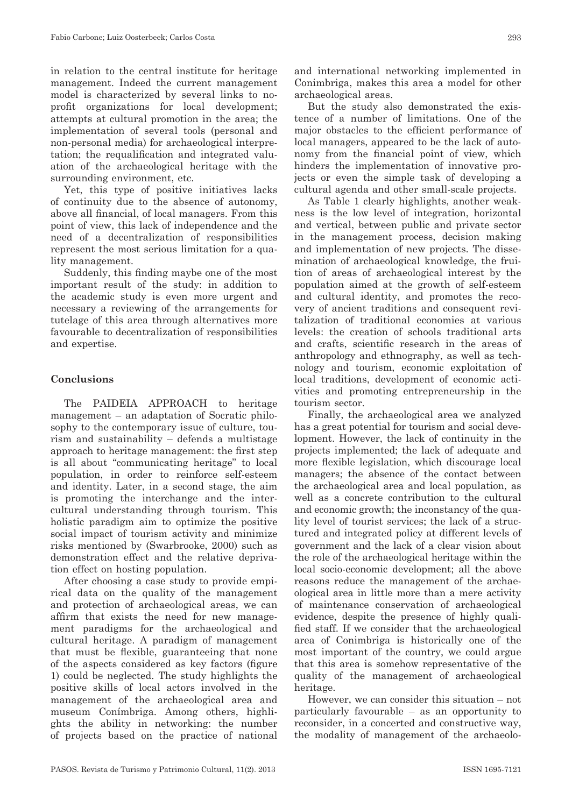in relation to the central institute for heritage management. Indeed the current management model is characterized by several links to noprofit organizations for local development; attempts at cultural promotion in the area; the implementation of several tools (personal and non-personal media) for archaeological interpretation; the requalification and integrated valuation of the archaeological heritage with the surrounding environment, etc.

Yet, this type of positive initiatives lacks of continuity due to the absence of autonomy, above all financial, of local managers. From this point of view, this lack of independence and the need of a decentralization of responsibilities represent the most serious limitation for a quality management.

Suddenly, this finding maybe one of the most important result of the study: in addition to the academic study is even more urgent and necessary a reviewing of the arrangements for tutelage of this area through alternatives more favourable to decentralization of responsibilities and expertise.

#### **Conclusions**

The PAIDEIA APPROACH to heritage management – an adaptation of Socratic philosophy to the contemporary issue of culture, tourism and sustainability – defends a multistage approach to heritage management: the first step is all about "communicating heritage" to local population, in order to reinforce self-esteem and identity. Later, in a second stage, the aim is promoting the interchange and the intercultural understanding through tourism. This holistic paradigm aim to optimize the positive social impact of tourism activity and minimize risks mentioned by (Swarbrooke, 2000) such as demonstration effect and the relative deprivation effect on hosting population.

After choosing a case study to provide empirical data on the quality of the management and protection of archaeological areas, we can affirm that exists the need for new management paradigms for the archaeological and cultural heritage. A paradigm of management that must be flexible, guaranteeing that none of the aspects considered as key factors (figure 1) could be neglected. The study highlights the positive skills of local actors involved in the management of the archaeological area and museum Conímbriga. Among others, highlights the ability in networking: the number of projects based on the practice of national and international networking implemented in Conimbriga, makes this area a model for other archaeological areas.

But the study also demonstrated the existence of a number of limitations. One of the major obstacles to the efficient performance of local managers, appeared to be the lack of autonomy from the financial point of view, which hinders the implementation of innovative projects or even the simple task of developing a cultural agenda and other small-scale projects.

As Table 1 clearly highlights, another weakness is the low level of integration, horizontal and vertical, between public and private sector in the management process, decision making and implementation of new projects. The dissemination of archaeological knowledge, the fruition of areas of archaeological interest by the population aimed at the growth of self-esteem and cultural identity, and promotes the recovery of ancient traditions and consequent revitalization of traditional economies at various levels: the creation of schools traditional arts and crafts, scientific research in the areas of anthropology and ethnography, as well as technology and tourism, economic exploitation of local traditions, development of economic activities and promoting entrepreneurship in the tourism sector.

Finally, the archaeological area we analyzed has a great potential for tourism and social development. However, the lack of continuity in the projects implemented; the lack of adequate and more flexible legislation, which discourage local managers; the absence of the contact between the archaeological area and local population, as well as a concrete contribution to the cultural and economic growth; the inconstancy of the quality level of tourist services; the lack of a structured and integrated policy at different levels of government and the lack of a clear vision about the role of the archaeological heritage within the local socio-economic development; all the above reasons reduce the management of the archaeological area in little more than a mere activity of maintenance conservation of archaeological evidence, despite the presence of highly qualified staff. If we consider that the archaeological area of Conimbriga is historically one of the most important of the country, we could argue that this area is somehow representative of the quality of the management of archaeological heritage.

However, we can consider this situation – not particularly favourable – as an opportunity to reconsider, in a concerted and constructive way, the modality of management of the archaeolo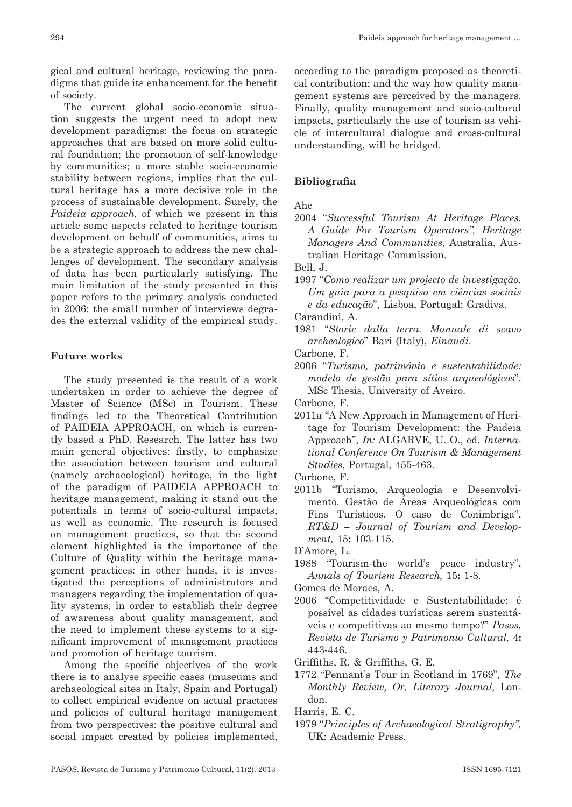gical and cultural heritage, reviewing the paradigms that guide its enhancement for the benefit of society.

The current global socio-economic situation suggests the urgent need to adopt new development paradigms: the focus on strategic approaches that are based on more solid cultural foundation; the promotion of self-knowledge by communities; a more stable socio-economic stability between regions, implies that the cultural heritage has a more decisive role in the process of sustainable development. Surely, the *Paideia approach*, of which we present in this article some aspects related to heritage tourism development on behalf of communities, aims to be a strategic approach to address the new challenges of development. The secondary analysis of data has been particularly satisfying. The main limitation of the study presented in this paper refers to the primary analysis conducted in 2006: the small number of interviews degrades the external validity of the empirical study.

#### **Future works**

The study presented is the result of a work undertaken in order to achieve the degree of Master of Science (MSc) in Tourism. These findings led to the Theoretical Contribution of PAIDEIA APPROACH, on which is currently based a PhD. Research. The latter has two main general objectives: firstly, to emphasize the association between tourism and cultural (namely archaeological) heritage, in the light of the paradigm of PAIDEIA APPROACH to heritage management, making it stand out the potentials in terms of socio-cultural impacts, as well as economic. The research is focused on management practices, so that the second element highlighted is the importance of the Culture of Quality within the heritage management practices: in other hands, it is investigated the perceptions of administrators and managers regarding the implementation of quality systems, in order to establish their degree of awareness about quality management, and the need to implement these systems to a significant improvement of management practices and promotion of heritage tourism.

Among the specific objectives of the work there is to analyse specific cases (museums and archaeological sites in Italy, Spain and Portugal) to collect empirical evidence on actual practices and policies of cultural heritage management from two perspectives: the positive cultural and social impact created by policies implemented,

according to the paradigm proposed as theoretical contribution; and the way how quality management systems are perceived by the managers. Finally, quality management and socio-cultural impacts, particularly the use of tourism as vehicle of intercultural dialogue and cross-cultural understanding, will be bridged.

#### **Bibliografia**

#### Ahc

2004 "*Successful Tourism At Heritage Places. A Guide For Tourism Operators", Heritage Managers And Communities,* Australia, Australian Heritage Commission.

Bell, J.

1997 "*Como realizar um projecto de investigação. Um guia para a pesquisa em ciências sociais e da educação*", Lisboa, Portugal: Gradiva.

Carandini, A.

1981 "*Storie dalla terra. Manuale di scavo archeologico*" Bari (Italy), *Einaudi*.

Carbone, F.

2006 "*Turismo, património e sustentabilidade: modelo de gestão para sítios arqueológicos*", MSc Thesis, University of Aveiro.

Carbone, F.

2011a "A New Approach in Management of Heritage for Tourism Development: the Paideia Approach", *In:* ALGARVE, U. O., ed. *International Conference On Tourism & Management Studies*, Portugal, 455-463.

Carbone, F.

- 2011b "Turismo, Arqueologia e Desenvolvimento. Gestão de Áreas Arqueológicas com Fins Turísticos. O caso de Conimbriga", *RT&D – Journal of Tourism and Development,* 15**:** 103-115.
- D'Amore, L.
- 1988 "Tourism-the world's peace industry", *Annals of Tourism Research,* 15**:** 1-8.
- Gomes de Moraes, A.
- 2006 "Competitividade e Sustentabilidade: é possível as cidades turísticas serem sustentáveis e competitivas ao mesmo tempo?" *Pasos, Revista de Turismo y Patrimonio Cultural,* 4**:** 443-446.

Griffiths, R. & Griffiths, G. E.

1772 "Pennant's Tour in Scotland in 1769", *The Monthly Review, Or, Literary Journal,* London.

Harris, E. C.

1979 "*Principles of Archaeological Stratigraphy",*  UK: Academic Press.